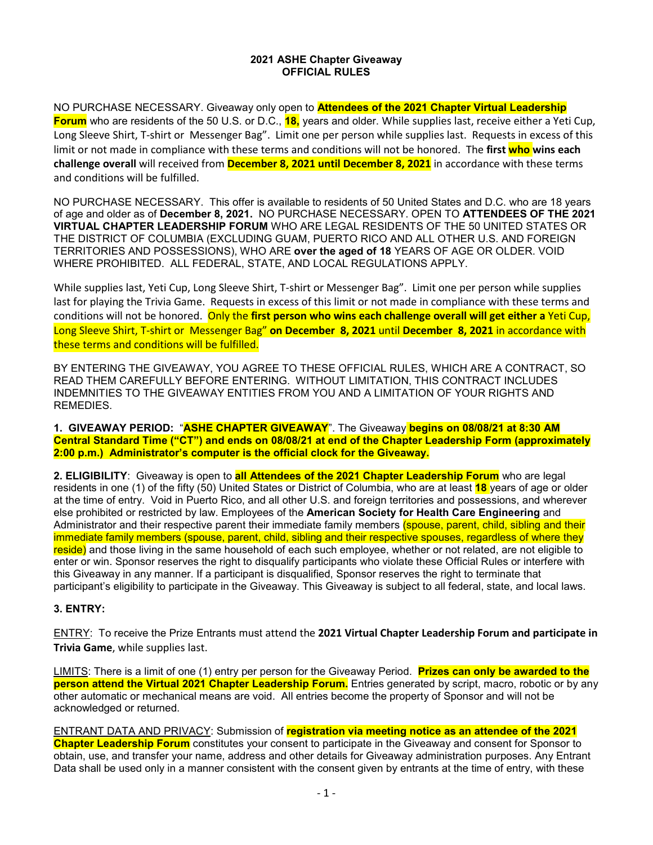## **2021 ASHE Chapter Giveaway OFFICIAL RULES**

NO PURCHASE NECESSARY. Giveaway only open to **Attendees of the 2021 Chapter Virtual Leadership Forum** who are residents of the 50 U.S. or D.C., **18,** years and older. While supplies last, receive either a Yeti Cup, Long Sleeve Shirt, T-shirt or Messenger Bag". Limit one per person while supplies last. Requests in excess of this limit or not made in compliance with these terms and conditions will not be honored. The **first who wins each challenge overall** will received from **December 8, 2021 until December 8, 2021** in accordance with these terms and conditions will be fulfilled.

NO PURCHASE NECESSARY. This offer is available to residents of 50 United States and D.C. who are 18 years of age and older as of **December 8, 2021.** NO PURCHASE NECESSARY. OPEN TO **ATTENDEES OF THE 2021 VIRTUAL CHAPTER LEADERSHIP FORUM** WHO ARE LEGAL RESIDENTS OF THE 50 UNITED STATES OR THE DISTRICT OF COLUMBIA (EXCLUDING GUAM, PUERTO RICO AND ALL OTHER U.S. AND FOREIGN TERRITORIES AND POSSESSIONS), WHO ARE **over the aged of 18** YEARS OF AGE OR OLDER. VOID WHERE PROHIBITED. ALL FEDERAL, STATE, AND LOCAL REGULATIONS APPLY.

While supplies last, Yeti Cup, Long Sleeve Shirt, T-shirt or Messenger Bag". Limit one per person while supplies last for playing the Trivia Game. Requests in excess of this limit or not made in compliance with these terms and conditions will not be honored. Only the **first person who wins each challenge overall will get either a** Yeti Cup, Long Sleeve Shirt, T-shirt or Messenger Bag" **on December 8, 2021** until **December 8, 2021** in accordance with these terms and conditions will be fulfilled.

BY ENTERING THE GIVEAWAY, YOU AGREE TO THESE OFFICIAL RULES, WHICH ARE A CONTRACT, SO READ THEM CAREFULLY BEFORE ENTERING. WITHOUT LIMITATION, THIS CONTRACT INCLUDES INDEMNITIES TO THE GIVEAWAY ENTITIES FROM YOU AND A LIMITATION OF YOUR RIGHTS AND REMEDIES.

**1. GIVEAWAY PERIOD:** "**ASHE CHAPTER GIVEAWAY**". The Giveaway **begins on 08/08/21 at 8:30 AM Central Standard Time ("CT") and ends on 08/08/21 at end of the Chapter Leadership Form (approximately 2:00 p.m.) Administrator's computer is the official clock for the Giveaway.** 

**2. ELIGIBILITY**: Giveaway is open to **all Attendees of the 2021 Chapter Leadership Forum** who are legal residents in one (1) of the fifty (50) United States or District of Columbia, who are at least **18** years of age or older at the time of entry. Void in Puerto Rico, and all other U.S. and foreign territories and possessions, and wherever else prohibited or restricted by law. Employees of the **American Society for Health Care Engineering** and Administrator and their respective parent their immediate family members (spouse, parent, child, sibling and their immediate family members (spouse, parent, child, sibling and their respective spouses, regardless of where they reside) and those living in the same household of each such employee, whether or not related, are not eligible to enter or win. Sponsor reserves the right to disqualify participants who violate these Official Rules or interfere with this Giveaway in any manner. If a participant is disqualified, Sponsor reserves the right to terminate that participant's eligibility to participate in the Giveaway. This Giveaway is subject to all federal, state, and local laws.

## **3. ENTRY:**

ENTRY: To receive the Prize Entrants must attend the **2021 Virtual Chapter Leadership Forum and participate in Trivia Game**, while supplies last.

LIMITS: There is a limit of one (1) entry per person for the Giveaway Period. **Prizes can only be awarded to the person attend the Virtual 2021 Chapter Leadership Forum.** Entries generated by script, macro, robotic or by any other automatic or mechanical means are void. All entries become the property of Sponsor and will not be acknowledged or returned.

ENTRANT DATA AND PRIVACY: Submission of **registration via meeting notice as an attendee of the 2021 Chapter Leadership Forum** constitutes your consent to participate in the Giveaway and consent for Sponsor to obtain, use, and transfer your name, address and other details for Giveaway administration purposes. Any Entrant Data shall be used only in a manner consistent with the consent given by entrants at the time of entry, with these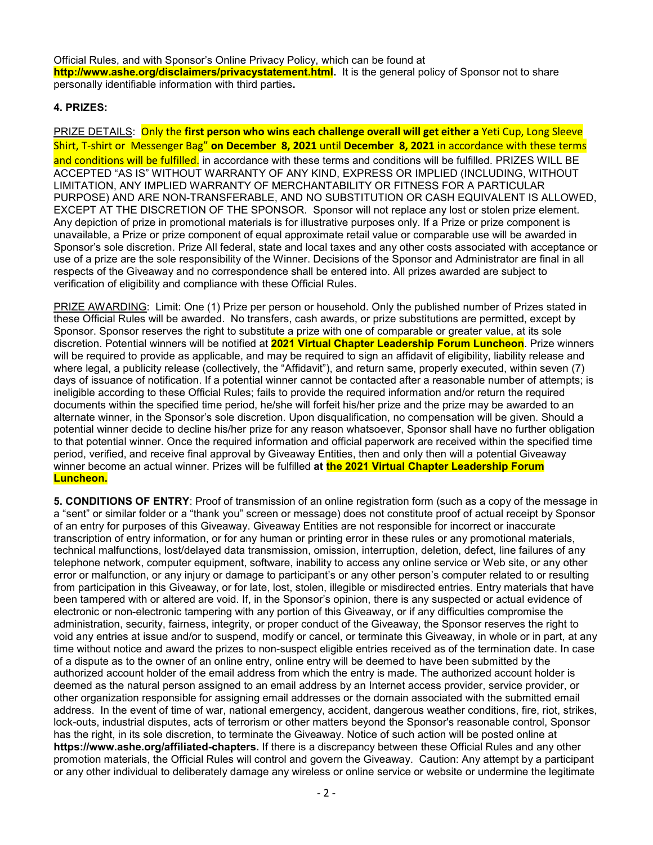Official Rules, and with Sponsor's Online Privacy Policy, which can be found at **http://www.ashe.org/disclaimers/privacystatement.html.** It is the general policy of Sponsor not to share personally identifiable information with third parties**.** 

## **4. PRIZES:**

PRIZE DETAILS: Only the **first person who wins each challenge overall will get either a** Yeti Cup, Long Sleeve Shirt, T-shirt or Messenger Bag" **on December 8, 2021** until **December 8, 2021** in accordance with these terms and conditions will be fulfilled. in accordance with these terms and conditions will be fulfilled. PRIZES WILL BE ACCEPTED "AS IS" WITHOUT WARRANTY OF ANY KIND, EXPRESS OR IMPLIED (INCLUDING, WITHOUT LIMITATION, ANY IMPLIED WARRANTY OF MERCHANTABILITY OR FITNESS FOR A PARTICULAR PURPOSE) AND ARE NON-TRANSFERABLE, AND NO SUBSTITUTION OR CASH EQUIVALENT IS ALLOWED, EXCEPT AT THE DISCRETION OF THE SPONSOR. Sponsor will not replace any lost or stolen prize element. Any depiction of prize in promotional materials is for illustrative purposes only. If a Prize or prize component is unavailable, a Prize or prize component of equal approximate retail value or comparable use will be awarded in Sponsor's sole discretion. Prize All federal, state and local taxes and any other costs associated with acceptance or use of a prize are the sole responsibility of the Winner. Decisions of the Sponsor and Administrator are final in all respects of the Giveaway and no correspondence shall be entered into. All prizes awarded are subject to verification of eligibility and compliance with these Official Rules.

PRIZE AWARDING: Limit: One (1) Prize per person or household. Only the published number of Prizes stated in these Official Rules will be awarded. No transfers, cash awards, or prize substitutions are permitted, except by Sponsor. Sponsor reserves the right to substitute a prize with one of comparable or greater value, at its sole discretion. Potential winners will be notified at **2021 Virtual Chapter Leadership Forum Luncheon**. Prize winners will be required to provide as applicable, and may be required to sign an affidavit of eligibility, liability release and where legal, a publicity release (collectively, the "Affidavit"), and return same, properly executed, within seven (7) days of issuance of notification. If a potential winner cannot be contacted after a reasonable number of attempts; is ineligible according to these Official Rules; fails to provide the required information and/or return the required documents within the specified time period, he/she will forfeit his/her prize and the prize may be awarded to an alternate winner, in the Sponsor's sole discretion. Upon disqualification, no compensation will be given. Should a potential winner decide to decline his/her prize for any reason whatsoever, Sponsor shall have no further obligation to that potential winner. Once the required information and official paperwork are received within the specified time period, verified, and receive final approval by Giveaway Entities, then and only then will a potential Giveaway winner become an actual winner. Prizes will be fulfilled **at the 2021 Virtual Chapter Leadership Forum Luncheon.**

**5. CONDITIONS OF ENTRY**: Proof of transmission of an online registration form (such as a copy of the message in a "sent" or similar folder or a "thank you" screen or message) does not constitute proof of actual receipt by Sponsor of an entry for purposes of this Giveaway. Giveaway Entities are not responsible for incorrect or inaccurate transcription of entry information, or for any human or printing error in these rules or any promotional materials, technical malfunctions, lost/delayed data transmission, omission, interruption, deletion, defect, line failures of any telephone network, computer equipment, software, inability to access any online service or Web site, or any other error or malfunction, or any injury or damage to participant's or any other person's computer related to or resulting from participation in this Giveaway, or for late, lost, stolen, illegible or misdirected entries. Entry materials that have been tampered with or altered are void. If, in the Sponsor's opinion, there is any suspected or actual evidence of electronic or non-electronic tampering with any portion of this Giveaway, or if any difficulties compromise the administration, security, fairness, integrity, or proper conduct of the Giveaway, the Sponsor reserves the right to void any entries at issue and/or to suspend, modify or cancel, or terminate this Giveaway, in whole or in part, at any time without notice and award the prizes to non-suspect eligible entries received as of the termination date. In case of a dispute as to the owner of an online entry, online entry will be deemed to have been submitted by the authorized account holder of the email address from which the entry is made. The authorized account holder is deemed as the natural person assigned to an email address by an Internet access provider, service provider, or other organization responsible for assigning email addresses or the domain associated with the submitted email address. In the event of time of war, national emergency, accident, dangerous weather conditions, fire, riot, strikes, lock-outs, industrial disputes, acts of terrorism or other matters beyond the Sponsor's reasonable control, Sponsor has the right, in its sole discretion, to terminate the Giveaway. Notice of such action will be posted online at **https://www.ashe.org/affiliated-chapters.** If there is a discrepancy between these Official Rules and any other promotion materials, the Official Rules will control and govern the Giveaway. Caution: Any attempt by a participant or any other individual to deliberately damage any wireless or online service or website or undermine the legitimate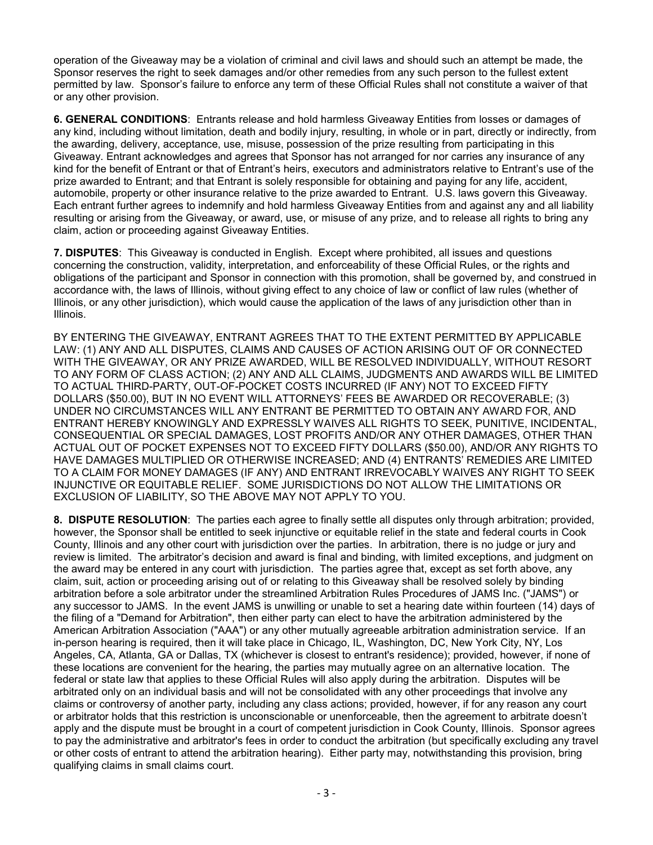operation of the Giveaway may be a violation of criminal and civil laws and should such an attempt be made, the Sponsor reserves the right to seek damages and/or other remedies from any such person to the fullest extent permitted by law. Sponsor's failure to enforce any term of these Official Rules shall not constitute a waiver of that or any other provision.

**6. GENERAL CONDITIONS**: Entrants release and hold harmless Giveaway Entities from losses or damages of any kind, including without limitation, death and bodily injury, resulting, in whole or in part, directly or indirectly, from the awarding, delivery, acceptance, use, misuse, possession of the prize resulting from participating in this Giveaway. Entrant acknowledges and agrees that Sponsor has not arranged for nor carries any insurance of any kind for the benefit of Entrant or that of Entrant's heirs, executors and administrators relative to Entrant's use of the prize awarded to Entrant; and that Entrant is solely responsible for obtaining and paying for any life, accident, automobile, property or other insurance relative to the prize awarded to Entrant. U.S. laws govern this Giveaway. Each entrant further agrees to indemnify and hold harmless Giveaway Entities from and against any and all liability resulting or arising from the Giveaway, or award, use, or misuse of any prize, and to release all rights to bring any claim, action or proceeding against Giveaway Entities.

**7. DISPUTES**: This Giveaway is conducted in English. Except where prohibited, all issues and questions concerning the construction, validity, interpretation, and enforceability of these Official Rules, or the rights and obligations of the participant and Sponsor in connection with this promotion, shall be governed by, and construed in accordance with, the laws of Illinois, without giving effect to any choice of law or conflict of law rules (whether of Illinois, or any other jurisdiction), which would cause the application of the laws of any jurisdiction other than in Illinois.

BY ENTERING THE GIVEAWAY, ENTRANT AGREES THAT TO THE EXTENT PERMITTED BY APPLICABLE LAW: (1) ANY AND ALL DISPUTES, CLAIMS AND CAUSES OF ACTION ARISING OUT OF OR CONNECTED WITH THE GIVEAWAY, OR ANY PRIZE AWARDED, WILL BE RESOLVED INDIVIDUALLY, WITHOUT RESORT TO ANY FORM OF CLASS ACTION; (2) ANY AND ALL CLAIMS, JUDGMENTS AND AWARDS WILL BE LIMITED TO ACTUAL THIRD-PARTY, OUT-OF-POCKET COSTS INCURRED (IF ANY) NOT TO EXCEED FIFTY DOLLARS (\$50.00), BUT IN NO EVENT WILL ATTORNEYS' FEES BE AWARDED OR RECOVERABLE; (3) UNDER NO CIRCUMSTANCES WILL ANY ENTRANT BE PERMITTED TO OBTAIN ANY AWARD FOR, AND ENTRANT HEREBY KNOWINGLY AND EXPRESSLY WAIVES ALL RIGHTS TO SEEK, PUNITIVE, INCIDENTAL, CONSEQUENTIAL OR SPECIAL DAMAGES, LOST PROFITS AND/OR ANY OTHER DAMAGES, OTHER THAN ACTUAL OUT OF POCKET EXPENSES NOT TO EXCEED FIFTY DOLLARS (\$50.00), AND/OR ANY RIGHTS TO HAVE DAMAGES MULTIPLIED OR OTHERWISE INCREASED; AND (4) ENTRANTS' REMEDIES ARE LIMITED TO A CLAIM FOR MONEY DAMAGES (IF ANY) AND ENTRANT IRREVOCABLY WAIVES ANY RIGHT TO SEEK INJUNCTIVE OR EQUITABLE RELIEF. SOME JURISDICTIONS DO NOT ALLOW THE LIMITATIONS OR EXCLUSION OF LIABILITY, SO THE ABOVE MAY NOT APPLY TO YOU.

**8. DISPUTE RESOLUTION**: The parties each agree to finally settle all disputes only through arbitration; provided, however, the Sponsor shall be entitled to seek injunctive or equitable relief in the state and federal courts in Cook County, Illinois and any other court with jurisdiction over the parties. In arbitration, there is no judge or jury and review is limited. The arbitrator's decision and award is final and binding, with limited exceptions, and judgment on the award may be entered in any court with jurisdiction. The parties agree that, except as set forth above, any claim, suit, action or proceeding arising out of or relating to this Giveaway shall be resolved solely by binding arbitration before a sole arbitrator under the streamlined Arbitration Rules Procedures of JAMS Inc. ("JAMS") or any successor to JAMS. In the event JAMS is unwilling or unable to set a hearing date within fourteen (14) days of the filing of a "Demand for Arbitration", then either party can elect to have the arbitration administered by the American Arbitration Association ("AAA") or any other mutually agreeable arbitration administration service. If an in-person hearing is required, then it will take place in Chicago, IL, Washington, DC, New York City, NY, Los Angeles, CA, Atlanta, GA or Dallas, TX (whichever is closest to entrant's residence); provided, however, if none of these locations are convenient for the hearing, the parties may mutually agree on an alternative location. The federal or state law that applies to these Official Rules will also apply during the arbitration. Disputes will be arbitrated only on an individual basis and will not be consolidated with any other proceedings that involve any claims or controversy of another party, including any class actions; provided, however, if for any reason any court or arbitrator holds that this restriction is unconscionable or unenforceable, then the agreement to arbitrate doesn't apply and the dispute must be brought in a court of competent jurisdiction in Cook County, Illinois. Sponsor agrees to pay the administrative and arbitrator's fees in order to conduct the arbitration (but specifically excluding any travel or other costs of entrant to attend the arbitration hearing). Either party may, notwithstanding this provision, bring qualifying claims in small claims court.